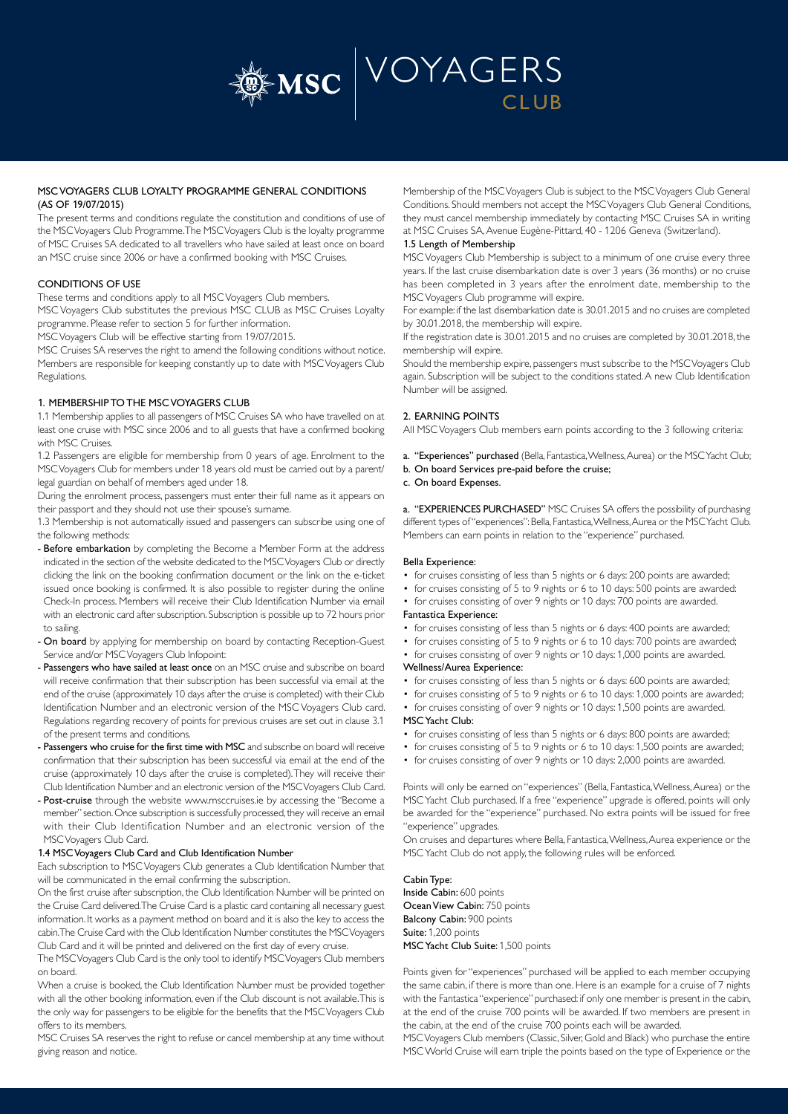

# MSC VOYAGERS CLUB LOYALTY PROGRAMME GENERAL CONDITIONS (AS OF 19/07/2015)

The present terms and conditions regulate the constitution and conditions of use of the MSC Voyagers Club Programme. The MSC Voyagers Club is the loyalty programme of MSC Cruises SA dedicated to all travellers who have sailed at least once on board an MSC cruise since 2006 or have a confirmed booking with MSC Cruises.

## CONDITIONS OF USE

These terms and conditions apply to all MSC Voyagers Club members.

MSC Voyagers Club substitutes the previous MSC CLUB as MSC Cruises Loyalty programme. Please refer to section 5 for further information.

MSC Voyagers Club will be effective starting from 19/07/2015.

MSC Cruises SA reserves the right to amend the following conditions without notice. Members are responsible for keeping constantly up to date with MSC Voyagers Club Regulations.

# 1. MEMBERSHIP TO THE MSC VOYAGERS CLUB

1.1 Membership applies to all passengers of MSC Cruises SA who have travelled on at least one cruise with MSC since 2006 and to all guests that have a confirmed booking with MSC Cruises.

1.2 Passengers are eligible for membership from 0 years of age. Enrolment to the MSC Voyagers Club for members under 18 years old must be carried out by a parent/ legal guardian on behalf of members aged under 18.

During the enrolment process, passengers must enter their full name as it appears on their passport and they should not use their spouse's surname.

1.3 Membership is not automatically issued and passengers can subscribe using one of the following methods:

- Before embarkation by completing the Become a Member Form at the address indicated in the section of the website dedicated to the MSC Voyagers Club or directly clicking the link on the booking confirmation document or the link on the e-ticket issued once booking is confirmed. It is also possible to register during the online Check-In process. Members will receive their Club Identification Number via email with an electronic card after subscription. Subscription is possible up to 72 hours prior to sailing.
- On board by applying for membership on board by contacting Reception-Guest Service and/or MSC Voyagers Club Infopoint:
- Passengers who have sailed at least once on an MSC cruise and subscribe on board will receive confirmation that their subscription has been successful via email at the end of the cruise (approximately 10 days after the cruise is completed) with their Club Identification Number and an electronic version of the MSC Voyagers Club card. Regulations regarding recovery of points for previous cruises are set out in clause 3.1 of the present terms and conditions.
- Passengers who cruise for the first time with MSC and subscribe on board will receive confirmation that their subscription has been successful via email at the end of the cruise (approximately 10 days after the cruise is completed). They will receive their Club Identification Number and an electronic version of the MSC Voyagers Club Card.
- Post-cruise through the website www.msccruises.ie by accessing the "Become a member" section. Once subscription is successfully processed, they will receive an email with their Club Identification Number and an electronic version of the MSC Voyagers Club Card.

## 1.4 MSC Voyagers Club Card and Club Identification Number

Each subscription to MSC Voyagers Club generates a Club Identification Number that will be communicated in the email confirming the subscription.

On the first cruise after subscription, the Club Identification Number will be printed on the Cruise Card delivered. The Cruise Card is a plastic card containing all necessary guest information. It works as a payment method on board and it is also the key to access the cabin. The Cruise Card with the Club Identification Number constitutes the MSC Voyagers Club Card and it will be printed and delivered on the first day of every cruise.

The MSC Voyagers Club Card is the only tool to identify MSC Voyagers Club members on board.

When a cruise is booked, the Club Identification Number must be provided together with all the other booking information, even if the Club discount is not available. This is the only way for passengers to be eligible for the benefits that the MSC Voyagers Club offers to its members.

MSC Cruises SA reserves the right to refuse or cancel membership at any time without giving reason and notice.

Membership of the MSC Voyagers Club is subject to the MSC Voyagers Club General Conditions. Should members not accept the MSC Voyagers Club General Conditions, they must cancel membership immediately by contacting MSC Cruises SA in writing at MSC Cruises SA, Avenue Eugène-Pittard, 40 - 1206 Geneva (Switzerland).

# 1.5 Length of Membership

MSC Voyagers Club Membership is subject to a minimum of one cruise every three years. If the last cruise disembarkation date is over 3 years (36 months) or no cruise has been completed in 3 years after the enrolment date, membership to the MSC Voyagers Club programme will expire.

For example: if the last disembarkation date is 30.01.2015 and no cruises are completed by 30.01.2018, the membership will expire.

If the registration date is 30.01.2015 and no cruises are completed by 30.01.2018, the membership will expire.

Should the membership expire, passengers must subscribe to the MSC Voyagers Club again. Subscription will be subject to the conditions stated. A new Club Identification Number will be assigned.

# 2. EARNING POINTS

All MSC Voyagers Club members earn points according to the 3 following criteria:

a. "Experiences" purchased (Bella, Fantastica, Wellness, Aurea) or the MSC Yacht Club;

- b. On board Services pre-paid before the cruise;
- c. On board Expenses.

a. "EXPERIENCES PURCHASED" MSC Cruises SA offers the possibility of purchasing different types of "experiences": Bella, Fantastica, Wellness, Aurea or the MSC Yacht Club. Members can earn points in relation to the "experience" purchased.

## Bella Experience:

- for cruises consisting of less than 5 nights or 6 days: 200 points are awarded;
- for cruises consisting of 5 to 9 nights or 6 to 10 days: 500 points are awarded:
- for cruises consisting of over 9 nights or 10 days: 700 points are awarded. Fantastica Experience:
- for cruises consisting of less than 5 nights or 6 days: 400 points are awarded;
- for cruises consisting of 5 to 9 nights or 6 to 10 days: 700 points are awarded;
- for cruises consisting of over 9 nights or 10 days: 1,000 points are awarded. Wellness/Aurea Experience:
	-
- for cruises consisting of less than 5 nights or 6 days: 600 points are awarded;
- for cruises consisting of 5 to 9 nights or 6 to 10 days: 1,000 points are awarded; • for cruises consisting of over 9 nights or 10 days: 1,500 points are awarded.
	- MSC Yacht Club:
	- for cruises consisting of less than 5 nights or 6 days: 800 points are awarded;
	- for cruises consisting of 5 to 9 nights or 6 to 10 days: 1,500 points are awarded;
	- for cruises consisting of over 9 nights or 10 days: 2,000 points are awarded.

Points will only be earned on "experiences" (Bella, Fantastica, Wellness, Aurea) or the MSC Yacht Club purchased. If a free "experience" upgrade is offered, points will only be awarded for the "experience" purchased. No extra points will be issued for free "experience" upgrades.

On cruises and departures where Bella, Fantastica, Wellness, Aurea experience or the MSC Yacht Club do not apply, the following rules will be enforced.

Cabin Type: Inside Cabin: 600 points Ocean View Cabin: 750 points Balcony Cabin: 900 points Suite: 1,200 points MSC Yacht Club Suite: 1,500 points

Points given for "experiences" purchased will be applied to each member occupying the same cabin, if there is more than one. Here is an example for a cruise of 7 nights with the Fantastica "experience" purchased: if only one member is present in the cabin, at the end of the cruise 700 points will be awarded. If two members are present in the cabin, at the end of the cruise 700 points each will be awarded.

MSC Voyagers Club members (Classic, Silver, Gold and Black) who purchase the entire MSC World Cruise will earn triple the points based on the type of Experience or the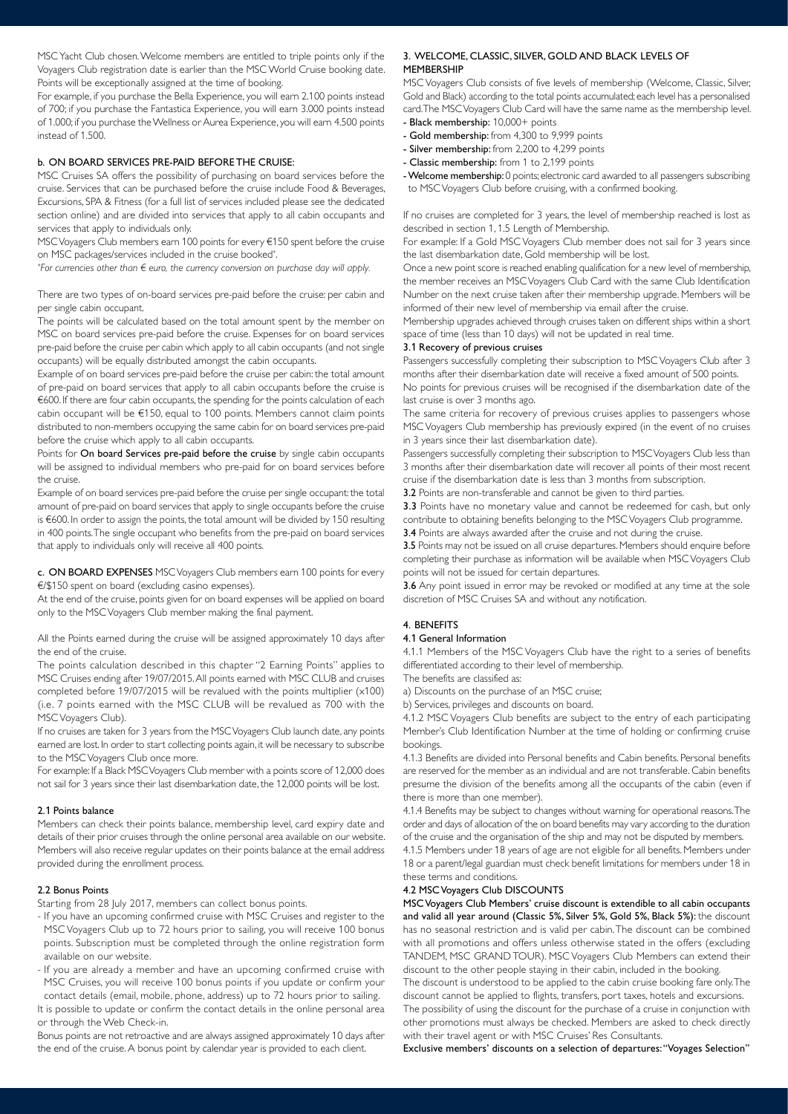MSC Yacht Club chosen. Welcome members are entitled to triple points only if the Voyagers Club registration date is earlier than the MSC World Cruise booking date. Points will be exceptionally assigned at the time of booking.

For example, if you purchase the Bella Experience, you will earn 2.100 points instead of 700; if you purchase the Fantastica Experience, you will earn 3.000 points instead of 1.000; if you purchase the Wellness or Aurea Experience, you will earn 4.500 points instead of 1.500.

### b. ON BOARD SERVICES PRE-PAID BEFORE THE CRUISE:

MSC Cruises SA offers the possibility of purchasing on board services before the cruise. Services that can be purchased before the cruise include Food & Beverages, Excursions, SPA & Fitness (for a full list of services included please see the dedicated section online) and are divided into services that apply to all cabin occupants and services that apply to individuals only.

MSC Voyagers Club members earn 100 points for every €150 spent before the cruise on MSC packages/services included in the cruise booked\* .

*\* For currencies other than € euro, the currency conversion on purchase day will apply.*

There are two types of on-board services pre-paid before the cruise: per cabin and per single cabin occupant.

The points will be calculated based on the total amount spent by the member on MSC on board services pre-paid before the cruise. Expenses for on board services pre-paid before the cruise per cabin which apply to all cabin occupants (and not single occupants) will be equally distributed amongst the cabin occupants.

Example of on board services pre-paid before the cruise per cabin: the total amount of pre-paid on board services that apply to all cabin occupants before the cruise is €600. If there are four cabin occupants, the spending for the points calculation of each cabin occupant will be €150, equal to 100 points. Members cannot claim points distributed to non-members occupying the same cabin for on board services pre-paid before the cruise which apply to all cabin occupants.

Points for On board Services pre-paid before the cruise by single cabin occupants will be assigned to individual members who pre-paid for on board services before the cruise.

Example of on board services pre-paid before the cruise per single occupant: the total amount of pre-paid on board services that apply to single occupants before the cruise is €600. In order to assign the points, the total amount will be divided by 150 resulting in 400 points. The single occupant who benefits from the pre-paid on board services that apply to individuals only will receive all 400 points.

c. ON BOARD EXPENSES MSC Voyagers Club members earn 100 points for every €/\$150 spent on board (excluding casino expenses).

At the end of the cruise, points given for on board expenses will be applied on board only to the MSC Voyagers Club member making the final payment.

All the Points earned during the cruise will be assigned approximately 10 days after the end of the cruise.

The points calculation described in this chapter "2 Earning Points" applies to MSC Cruises ending after 19/07/2015. All points earned with MSC CLUB and cruises completed before 19/07/2015 will be revalued with the points multiplier (x100) (i.e. 7 points earned with the MSC CLUB will be revalued as 700 with the MSC Voyagers Club).

If no cruises are taken for 3 years from the MSC Voyagers Club launch date, any points earned are lost. In order to start collecting points again, it will be necessary to subscribe to the MSC Voyagers Club once more.

For example: If a Black MSC Voyagers Club member with a points score of 12,000 does not sail for 3 years since their last disembarkation date, the 12,000 points will be lost.

### 2.1 Points balance

Members can check their points balance, membership level, card expiry date and details of their prior cruises through the online personal area available on our website. Members will also receive regular updates on their points balance at the email address provided during the enrollment process.

### 2.2 Bonus Points

Starting from 28 July 2017, members can collect bonus points.

- If you have an upcoming confirmed cruise with MSC Cruises and register to the MSC Voyagers Club up to 72 hours prior to sailing, you will receive 100 bonus points. Subscription must be completed through the online registration form available on our website.
- If you are already a member and have an upcoming confirmed cruise with MSC Cruises, you will receive 100 bonus points if you update or confirm your contact details (email, mobile, phone, address) up to 72 hours prior to sailing.

It is possible to update or confirm the contact details in the online personal area or through the Web Check-in.

Bonus points are not retroactive and are always assigned approximately 10 days after the end of the cruise. A bonus point by calendar year is provided to each client.

# 3. WELCOME, CLASSIC, SILVER, GOLD AND BLACK LEVELS OF **MEMBERSHIP**

MSC Voyagers Club consists of five levels of membership (Welcome, Classic, Silver, Gold and Black) according to the total points accumulated; each level has a personalised card. The MSC Voyagers Club Card will have the same name as the membership level. - Black membership: 10,000+ points

- 
- Gold membership: from 4,300 to 9,999 points - Silver membership: from 2,200 to 4,299 points
- Classic membership: from 1 to 2,199 points
- Welcome membership: 0 points; electronic card awarded to all passengers subscribing

to MSC Voyagers Club before cruising, with a confirmed booking.

If no cruises are completed for 3 years, the level of membership reached is lost as described in section 1, 1.5 Length of Membership.

For example: If a Gold MSC Voyagers Club member does not sail for 3 years since the last disembarkation date, Gold membership will be lost.

Once a new point score is reached enabling qualification for a new level of membership, the member receives an MSC Voyagers Club Card with the same Club Identification Number on the next cruise taken after their membership upgrade. Members will be informed of their new level of membership via email after the cruise.

Membership upgrades achieved through cruises taken on different ships within a short space of time (less than 10 days) will not be updated in real time.

#### 3.1 Recovery of previous cruises

Passengers successfully completing their subscription to MSC Voyagers Club after 3 months after their disembarkation date will receive a fixed amount of 500 points. No points for previous cruises will be recognised if the disembarkation date of the last cruise is over 3 months ago.

The same criteria for recovery of previous cruises applies to passengers whose MSC Voyagers Club membership has previously expired (in the event of no cruises in 3 years since their last disembarkation date).

Passengers successfully completing their subscription to MSC Voyagers Club less than 3 months after their disembarkation date will recover all points of their most recent cruise if the disembarkation date is less than 3 months from subscription.

3.2 Points are non-transferable and cannot be given to third parties.

3.3 Points have no monetary value and cannot be redeemed for cash, but only contribute to obtaining benefits belonging to the MSC Voyagers Club programme. 3.4 Points are always awarded after the cruise and not during the cruise.

3.5 Points may not be issued on all cruise departures. Members should enquire before

completing their purchase as information will be available when MSC Voyagers Club points will not be issued for certain departures.

3.6 Any point issued in error may be revoked or modified at any time at the sole discretion of MSC Cruises SA and without any notification.

## 4. BENEFITS

### 4.1 General Information

4.1.1 Members of the MSC Voyagers Club have the right to a series of benefits differentiated according to their level of membership.

The benefits are classified as:

a) Discounts on the purchase of an MSC cruise;

b) Services, privileges and discounts on board.

4.1.2 MSC Voyagers Club benefits are subject to the entry of each participating Member's Club Identification Number at the time of holding or confirming cruise bookings.

4.1.3 Benefits are divided into Personal benefits and Cabin benefits. Personal benefits are reserved for the member as an individual and are not transferable. Cabin benefits presume the division of the benefits among all the occupants of the cabin (even if there is more than one member).

4.1.4 Benefits may be subject to changes without warning for operational reasons. The order and days of allocation of the on board benefits may vary according to the duration of the cruise and the organisation of the ship and may not be disputed by members. 4.1.5 Members under 18 years of age are not eligible for all benefits. Members under 18 or a parent/legal guardian must check benefit limitations for members under 18 in these terms and conditions.

#### 4.2 MSC Voyagers Club DISCOUNTS

MSC Voyagers Club Members' cruise discount is extendible to all cabin occupants and valid all year around (Classic 5%, Silver 5%, Gold 5%, Black 5%): the discount has no seasonal restriction and is valid per cabin. The discount can be combined with all promotions and offers unless otherwise stated in the offers (excluding TANDEM, MSC GRAND TOUR). MSC Voyagers Club Members can extend their discount to the other people staying in their cabin, included in the booking.

The discount is understood to be applied to the cabin cruise booking fare only. The discount cannot be applied to flights, transfers, port taxes, hotels and excursions. The possibility of using the discount for the purchase of a cruise in conjunction with

other promotions must always be checked. Members are asked to check directly with their travel agent or with MSC Cruises' Res Consultants.

Exclusive members' discounts on a selection of departures: "Voyages Selection"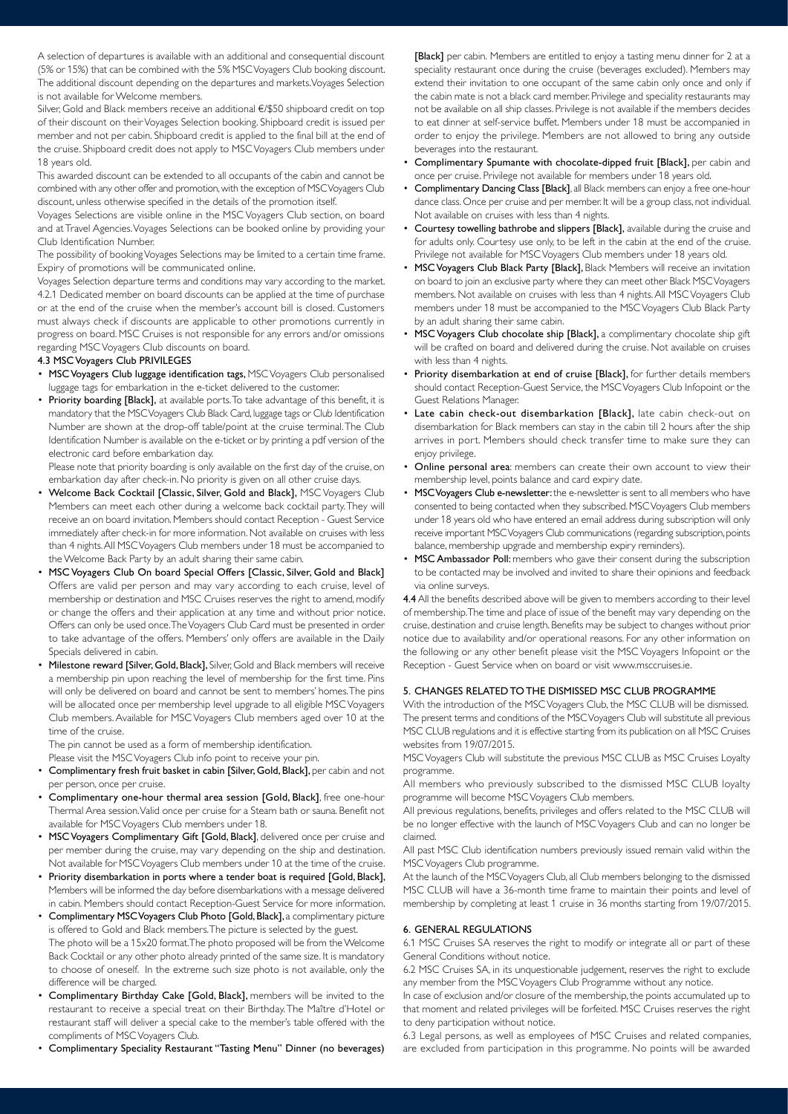A selection of departures is available with an additional and consequential discount (5% or 15%) that can be combined with the 5% MSC Voyagers Club booking discount. The additional discount depending on the departures and markets. Voyages Selection is not available for Welcome members.

Silver, Gold and Black members receive an additional €/\$50 shipboard credit on top of their discount on their Voyages Selection booking. Shipboard credit is issued per member and not per cabin. Shipboard credit is applied to the final bill at the end of the cruise. Shipboard credit does not apply to MSC Voyagers Club members under 18 years old.

This awarded discount can be extended to all occupants of the cabin and cannot be combined with any other offer and promotion, with the exception of MSC Voyagers Club discount, unless otherwise specified in the details of the promotion itself.

Voyages Selections are visible online in the MSC Voyagers Club section, on board and at Travel Agencies. Voyages Selections can be booked online by providing your Club Identification Number.

The possibility of booking Voyages Selections may be limited to a certain time frame. Expiry of promotions will be communicated online.

Voyages Selection departure terms and conditions may vary according to the market. 4.2.1 Dedicated member on board discounts can be applied at the time of purchase or at the end of the cruise when the member's account bill is closed. Customers must always check if discounts are applicable to other promotions currently in progress on board. MSC Cruises is not responsible for any errors and/or omissions regarding MSC Voyagers Club discounts on board.

### 4.3 MSC Voyagers Club PRIVILEGES

- MSC Voyagers Club luggage identification tags, MSC Voyagers Club personalised luggage tags for embarkation in the e-ticket delivered to the customer.
- Priority boarding [Black], at available ports. To take advantage of this benefit, it is mandatory that the MSC Voyagers Club Black Card, luggage tags or Club Identification Number are shown at the drop-off table/point at the cruise terminal. The Club Identification Number is available on the e-ticket or by printing a pdf version of the electronic card before embarkation day.

Please note that priority boarding is only available on the first day of the cruise, on embarkation day after check-in. No priority is given on all other cruise days.

- Welcome Back Cocktail [Classic, Silver, Gold and Black], MSC Voyagers Club Members can meet each other during a welcome back cocktail party. They will receive an on board invitation. Members should contact Reception - Guest Service immediately after check-in for more information. Not available on cruises with less than 4 nights. All MSC Voyagers Club members under 18 must be accompanied to the Welcome Back Party by an adult sharing their same cabin.
- MSC Voyagers Club On board Special Offers [Classic, Silver, Gold and Black] Offers are valid per person and may vary according to each cruise, level of membership or destination and MSC Cruises reserves the right to amend, modify or change the offers and their application at any time and without prior notice. Offers can only be used once. The Voyagers Club Card must be presented in order to take advantage of the offers. Members' only offers are available in the Daily Specials delivered in cabin.
- Milestone reward [Silver, Gold, Black], Silver, Gold and Black members will receive a membership pin upon reaching the level of membership for the first time. Pins will only be delivered on board and cannot be sent to members' homes. The pins will be allocated once per membership level upgrade to all eligible MSC Voyagers Club members. Available for MSC Voyagers Club members aged over 10 at the time of the cruise.

The pin cannot be used as a form of membership identification. Please visit the MSC Voyagers Club info point to receive your pin.

- Complimentary fresh fruit basket in cabin [Silver, Gold, Black], per cabin and not per person, once per cruise.
- Complimentary one-hour thermal area session [Gold, Black], free one-hour Thermal Area session. Valid once per cruise for a Steam bath or sauna. Benefit not available for MSC Voyagers Club members under 18.
- MSC Voyagers Complimentary Gift [Gold, Black], delivered once per cruise and per member during the cruise, may vary depending on the ship and destination. Not available for MSC Voyagers Club members under 10 at the time of the cruise.
- Priority disembarkation in ports where a tender boat is required [Gold, Black], Members will be informed the day before disembarkations with a message delivered in cabin. Members should contact Reception-Guest Service for more information.
- Complimentary MSC Voyagers Club Photo [Gold, Black], a complimentary picture is offered to Gold and Black members. The picture is selected by the guest. The photo will be a 15x20 format. The photo proposed will be from the Welcome Back Cocktail or any other photo already printed of the same size. It is mandatory to choose of oneself. In the extreme such size photo is not available, only the difference will be charged.
- Complimentary Birthday Cake [Gold, Black], members will be invited to the restaurant to receive a special treat on their Birthday. The Maître d'Hotel or restaurant staff will deliver a special cake to the member's table offered with the compliments of MSC Voyagers Club.
- Complimentary Speciality Restaurant "Tasting Menu" Dinner (no beverages)

[Black] per cabin. Members are entitled to enjoy a tasting menu dinner for 2 at a speciality restaurant once during the cruise (beverages excluded). Members may extend their invitation to one occupant of the same cabin only once and only if the cabin mate is not a black card member. Privilege and speciality restaurants may not be available on all ship classes. Privilege is not available if the members decides to eat dinner at self-service buffet. Members under 18 must be accompanied in order to enjoy the privilege. Members are not allowed to bring any outside beverages into the restaurant.

- Complimentary Spumante with chocolate-dipped fruit [Black], per cabin and once per cruise. Privilege not available for members under 18 years old.
- Complimentary Dancing Class [Black], all Black members can enjoy a free one-hour dance class. Once per cruise and per member. It will be a group class, not individual. Not available on cruises with less than 4 nights.
- Courtesy towelling bathrobe and slippers [Black], available during the cruise and for adults only. Courtesy use only, to be left in the cabin at the end of the cruise. Privilege not available for MSC Voyagers Club members under 18 years old.
- MSC Voyagers Club Black Party [Black], Black Members will receive an invitation on board to join an exclusive party where they can meet other Black MSC Voyagers members. Not available on cruises with less than 4 nights. All MSC Voyagers Club members under 18 must be accompanied to the MSC Voyagers Club Black Party by an adult sharing their same cabin.
- MSC Voyagers Club chocolate ship [Black], a complimentary chocolate ship gift will be crafted on board and delivered during the cruise. Not available on cruises with less than 4 nights.
- Priority disembarkation at end of cruise [Black], for further details members should contact Reception-Guest Service, the MSC Voyagers Club Infopoint or the Guest Relations Manager.
- Late cabin check-out disembarkation [Black], late cabin check-out on disembarkation for Black members can stay in the cabin till 2 hours after the ship arrives in port. Members should check transfer time to make sure they can enjoy privilege.
- Online personal area: members can create their own account to view their membership level, points balance and card expiry date.
- MSC Voyagers Club e-newsletter: the e-newsletter is sent to all members who have consented to being contacted when they subscribed. MSC Voyagers Club members under 18 years old who have entered an email address during subscription will only receive important MSC Voyagers Club communications (regarding subscription, points balance, membership upgrade and membership expiry reminders).
- MSC Ambassador Poll: members who gave their consent during the subscription to be contacted may be involved and invited to share their opinions and feedback via online surveys.

4.4 All the benefits described above will be given to members according to their level of membership. The time and place of issue of the benefit may vary depending on the cruise, destination and cruise length. Benefits may be subject to changes without prior notice due to availability and/or operational reasons. For any other information on the following or any other benefit please visit the MSC Voyagers Infopoint or the Reception - Guest Service when on board or visit www.msccruises.ie.

# 5. CHANGES RELATED TO THE DISMISSED MSC CLUB PROGRAMME

With the introduction of the MSC Voyagers Club, the MSC CLUB will be dismissed. The present terms and conditions of the MSC Voyagers Club will substitute all previous MSC CLUB regulations and it is effective starting from its publication on all MSC Cruises websites from 19/07/2015.

MSC Voyagers Club will substitute the previous MSC CLUB as MSC Cruises Loyalty programme.

All members who previously subscribed to the dismissed MSC CLUB loyalty programme will become MSC Voyagers Club members.

All previous regulations, benefits, privileges and offers related to the MSC CLUB will be no longer effective with the launch of MSC Voyagers Club and can no longer be claimed.

All past MSC Club identification numbers previously issued remain valid within the MSC Voyagers Club programme.

At the launch of the MSC Voyagers Club, all Club members belonging to the dismissed MSC CLUB will have a 36-month time frame to maintain their points and level of membership by completing at least 1 cruise in 36 months starting from 19/07/2015.

## 6. GENERAL REGULATIONS

6.1 MSC Cruises SA reserves the right to modify or integrate all or part of these General Conditions without notice.

6.2 MSC Cruises SA, in its unquestionable judgement, reserves the right to exclude any member from the MSC Voyagers Club Programme without any notice.

In case of exclusion and/or closure of the membership, the points accumulated up to that moment and related privileges will be forfeited. MSC Cruises reserves the right to deny participation without notice.

6.3 Legal persons, as well as employees of MSC Cruises and related companies, are excluded from participation in this programme. No points will be awarded